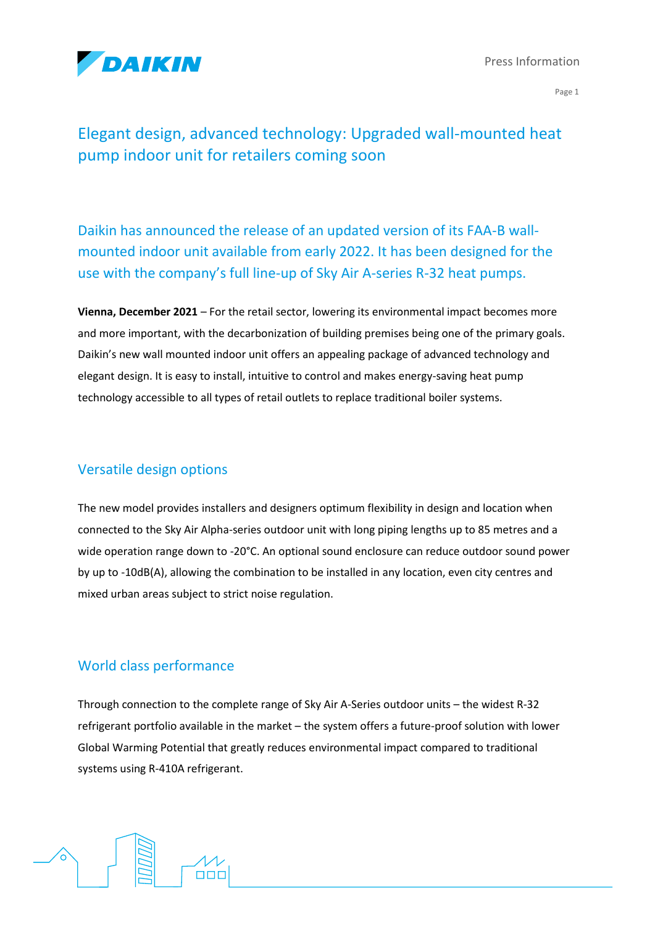

Press Information

Page 1

# Elegant design, advanced technology: Upgraded wall-mounted heat pump indoor unit for retailers coming soon

Daikin has announced the release of an updated version of its FAA-B wallmounted indoor unit available from early 2022. It has been designed for the use with the company's full line-up of Sky Air A-series R-32 heat pumps.

**Vienna, December 2021** – For the retail sector, lowering its environmental impact becomes more and more important, with the decarbonization of building premises being one of the primary goals. Daikin's new wall mounted indoor unit offers an appealing package of advanced technology and elegant design. It is easy to install, intuitive to control and makes energy-saving heat pump technology accessible to all types of retail outlets to replace traditional boiler systems.

### Versatile design options

The new model provides installers and designers optimum flexibility in design and location when connected to the Sky Air Alpha-series outdoor unit with long piping lengths up to 85 metres and a wide operation range down to -20°C. An optional sound enclosure can reduce outdoor sound power by up to -10dB(A), allowing the combination to be installed in any location, even city centres and mixed urban areas subject to strict noise regulation.

### World class performance

 $\Box \Box \Box$ 

Through connection to the complete range of Sky Air A-Series outdoor units – the widest R-32 refrigerant portfolio available in the market – the system offers a future-proof solution with lower Global Warming Potential that greatly reduces environmental impact compared to traditional systems using R-410A refrigerant.